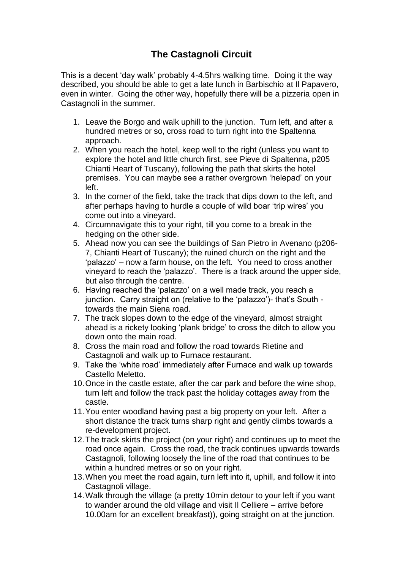## **The Castagnoli Circuit**

This is a decent 'day walk' probably 4-4.5hrs walking time. Doing it the way described, you should be able to get a late lunch in Barbischio at Il Papavero, even in winter. Going the other way, hopefully there will be a pizzeria open in Castagnoli in the summer.

- 1. Leave the Borgo and walk uphill to the junction. Turn left, and after a hundred metres or so, cross road to turn right into the Spaltenna approach.
- 2. When you reach the hotel, keep well to the right (unless you want to explore the hotel and little church first, see Pieve di Spaltenna, p205 Chianti Heart of Tuscany), following the path that skirts the hotel premises. You can maybe see a rather overgrown 'helepad' on your left.
- 3. In the corner of the field, take the track that dips down to the left, and after perhaps having to hurdle a couple of wild boar 'trip wires' you come out into a vineyard.
- 4. Circumnavigate this to your right, till you come to a break in the hedging on the other side.
- 5. Ahead now you can see the buildings of San Pietro in Avenano (p206- 7, Chianti Heart of Tuscany); the ruined church on the right and the 'palazzo' – now a farm house, on the left. You need to cross another vineyard to reach the 'palazzo'. There is a track around the upper side, but also through the centre.
- 6. Having reached the 'palazzo' on a well made track, you reach a junction. Carry straight on (relative to the 'palazzo')- that's South towards the main Siena road.
- 7. The track slopes down to the edge of the vineyard, almost straight ahead is a rickety looking 'plank bridge' to cross the ditch to allow you down onto the main road.
- 8. Cross the main road and follow the road towards Rietine and Castagnoli and walk up to Furnace restaurant.
- 9. Take the 'white road' immediately after Furnace and walk up towards Castello Meletto.
- 10.Once in the castle estate, after the car park and before the wine shop, turn left and follow the track past the holiday cottages away from the castle.
- 11.You enter woodland having past a big property on your left. After a short distance the track turns sharp right and gently climbs towards a re-development project.
- 12.The track skirts the project (on your right) and continues up to meet the road once again. Cross the road, the track continues upwards towards Castagnoli, following loosely the line of the road that continues to be within a hundred metres or so on your right.
- 13.When you meet the road again, turn left into it, uphill, and follow it into Castagnoli village.
- 14.Walk through the village (a pretty 10min detour to your left if you want to wander around the old village and visit Il Celliere – arrive before 10.00am for an excellent breakfast)), going straight on at the junction.